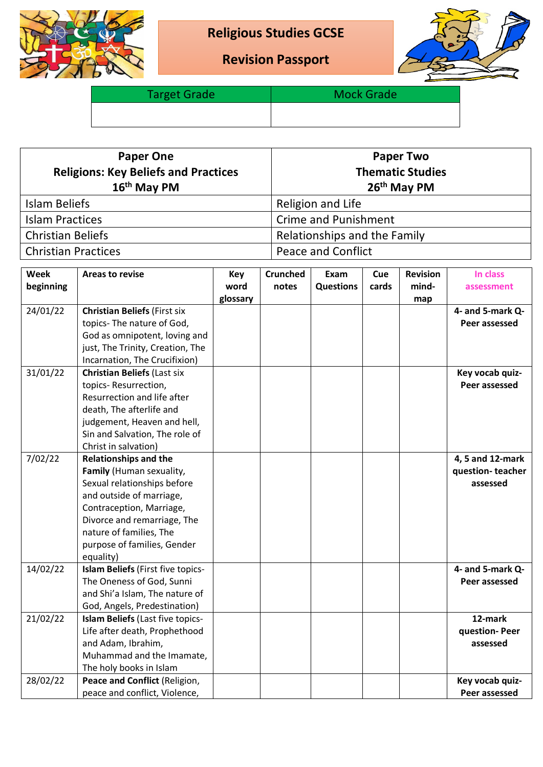

## **Religious Studies GCSE**

**Revision Passport**



Target Grade **Mock Grade** Mock Grade

| <b>Paper One</b><br><b>Religions: Key Beliefs and Practices</b><br>16 <sup>th</sup> May PM | <b>Paper Two</b><br><b>Thematic Studies</b><br>26 <sup>th</sup> May PM |  |  |  |  |
|--------------------------------------------------------------------------------------------|------------------------------------------------------------------------|--|--|--|--|
| Islam Beliefs                                                                              | Religion and Life                                                      |  |  |  |  |
| <b>Islam Practices</b>                                                                     | <b>Crime and Punishment</b>                                            |  |  |  |  |
| <b>Christian Beliefs</b>                                                                   | Relationships and the Family                                           |  |  |  |  |
| <b>Christian Practices</b>                                                                 | <b>Peace and Conflict</b>                                              |  |  |  |  |

| Week      | <b>Areas to revise</b>                  | Key      | <b>Crunched</b> | Exam             | Cue   | <b>Revision</b> | In class         |
|-----------|-----------------------------------------|----------|-----------------|------------------|-------|-----------------|------------------|
| beginning |                                         | word     | notes           | <b>Questions</b> | cards | mind-           | assessment       |
|           |                                         | glossary |                 |                  |       | map             |                  |
| 24/01/22  | <b>Christian Beliefs (First six</b>     |          |                 |                  |       |                 | 4- and 5-mark Q- |
|           | topics-The nature of God,               |          |                 |                  |       |                 | Peer assessed    |
|           | God as omnipotent, loving and           |          |                 |                  |       |                 |                  |
|           | just, The Trinity, Creation, The        |          |                 |                  |       |                 |                  |
|           | Incarnation, The Crucifixion)           |          |                 |                  |       |                 |                  |
| 31/01/22  | <b>Christian Beliefs (Last six</b>      |          |                 |                  |       |                 | Key vocab quiz-  |
|           | topics-Resurrection,                    |          |                 |                  |       |                 | Peer assessed    |
|           | Resurrection and life after             |          |                 |                  |       |                 |                  |
|           | death, The afterlife and                |          |                 |                  |       |                 |                  |
|           | judgement, Heaven and hell,             |          |                 |                  |       |                 |                  |
|           | Sin and Salvation, The role of          |          |                 |                  |       |                 |                  |
|           | Christ in salvation)                    |          |                 |                  |       |                 |                  |
| 7/02/22   | <b>Relationships and the</b>            |          |                 |                  |       |                 | 4, 5 and 12-mark |
|           | Family (Human sexuality,                |          |                 |                  |       |                 | question-teacher |
|           | Sexual relationships before             |          |                 |                  |       |                 | assessed         |
|           | and outside of marriage,                |          |                 |                  |       |                 |                  |
|           | Contraception, Marriage,                |          |                 |                  |       |                 |                  |
|           | Divorce and remarriage, The             |          |                 |                  |       |                 |                  |
|           | nature of families, The                 |          |                 |                  |       |                 |                  |
|           | purpose of families, Gender             |          |                 |                  |       |                 |                  |
|           | equality)                               |          |                 |                  |       |                 |                  |
| 14/02/22  | Islam Beliefs (First five topics-       |          |                 |                  |       |                 | 4- and 5-mark Q- |
|           | The Oneness of God, Sunni               |          |                 |                  |       |                 | Peer assessed    |
|           | and Shi'a Islam, The nature of          |          |                 |                  |       |                 |                  |
|           | God, Angels, Predestination)            |          |                 |                  |       |                 |                  |
| 21/02/22  | <b>Islam Beliefs (Last five topics-</b> |          |                 |                  |       |                 | 12-mark          |
|           | Life after death, Prophethood           |          |                 |                  |       |                 | question-Peer    |
|           | and Adam, Ibrahim,                      |          |                 |                  |       |                 | assessed         |
|           | Muhammad and the Imamate,               |          |                 |                  |       |                 |                  |
|           | The holy books in Islam                 |          |                 |                  |       |                 |                  |
| 28/02/22  | Peace and Conflict (Religion,           |          |                 |                  |       |                 | Key vocab quiz-  |
|           | peace and conflict, Violence,           |          |                 |                  |       |                 | Peer assessed    |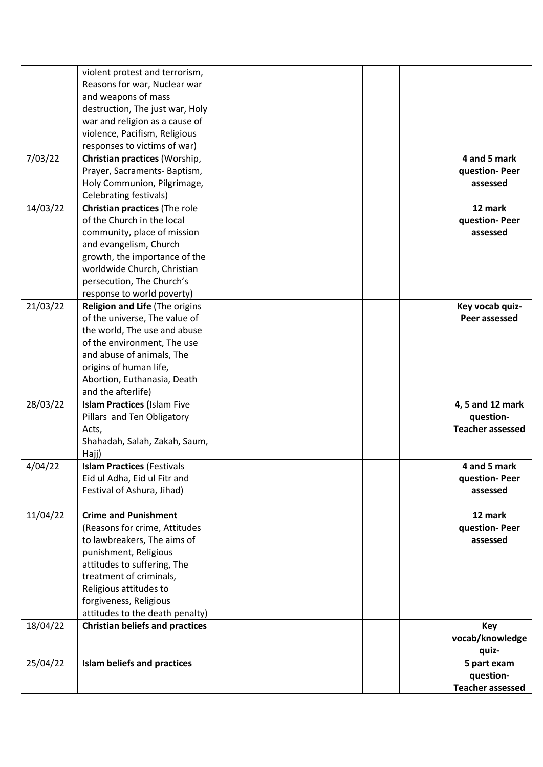|          | violent protest and terrorism,         |  |  |                         |
|----------|----------------------------------------|--|--|-------------------------|
|          | Reasons for war, Nuclear war           |  |  |                         |
|          | and weapons of mass                    |  |  |                         |
|          | destruction, The just war, Holy        |  |  |                         |
|          | war and religion as a cause of         |  |  |                         |
|          | violence, Pacifism, Religious          |  |  |                         |
|          | responses to victims of war)           |  |  |                         |
| 7/03/22  | Christian practices (Worship,          |  |  | 4 and 5 mark            |
|          | Prayer, Sacraments-Baptism,            |  |  | question-Peer           |
|          | Holy Communion, Pilgrimage,            |  |  | assessed                |
|          | Celebrating festivals)                 |  |  |                         |
| 14/03/22 | Christian practices (The role          |  |  | 12 mark                 |
|          | of the Church in the local             |  |  | question-Peer           |
|          | community, place of mission            |  |  | assessed                |
|          | and evangelism, Church                 |  |  |                         |
|          | growth, the importance of the          |  |  |                         |
|          | worldwide Church, Christian            |  |  |                         |
|          | persecution, The Church's              |  |  |                         |
|          | response to world poverty)             |  |  |                         |
| 21/03/22 | Religion and Life (The origins         |  |  | Key vocab quiz-         |
|          | of the universe, The value of          |  |  | Peer assessed           |
|          | the world, The use and abuse           |  |  |                         |
|          | of the environment, The use            |  |  |                         |
|          | and abuse of animals, The              |  |  |                         |
|          |                                        |  |  |                         |
|          | origins of human life,                 |  |  |                         |
|          | Abortion, Euthanasia, Death            |  |  |                         |
|          | and the afterlife)                     |  |  |                         |
| 28/03/22 | <b>Islam Practices (Islam Five</b>     |  |  | 4, 5 and 12 mark        |
|          | Pillars and Ten Obligatory             |  |  | question-               |
|          | Acts,                                  |  |  | <b>Teacher assessed</b> |
|          | Shahadah, Salah, Zakah, Saum,          |  |  |                         |
|          | Hajj)                                  |  |  |                         |
| 4/04/22  | <b>Islam Practices (Festivals</b>      |  |  | 4 and 5 mark            |
|          | Eid ul Adha, Eid ul Fitr and           |  |  | question-Peer           |
|          | Festival of Ashura, Jihad)             |  |  | assessed                |
|          |                                        |  |  |                         |
| 11/04/22 | <b>Crime and Punishment</b>            |  |  | 12 mark                 |
|          | (Reasons for crime, Attitudes          |  |  | question- Peer          |
|          | to lawbreakers, The aims of            |  |  | assessed                |
|          | punishment, Religious                  |  |  |                         |
|          | attitudes to suffering, The            |  |  |                         |
|          | treatment of criminals,                |  |  |                         |
|          | Religious attitudes to                 |  |  |                         |
|          | forgiveness, Religious                 |  |  |                         |
|          | attitudes to the death penalty)        |  |  |                         |
| 18/04/22 | <b>Christian beliefs and practices</b> |  |  | Key                     |
|          |                                        |  |  | vocab/knowledge         |
|          |                                        |  |  | quiz-                   |
| 25/04/22 | <b>Islam beliefs and practices</b>     |  |  | 5 part exam             |
|          |                                        |  |  | question-               |
|          |                                        |  |  | <b>Teacher assessed</b> |